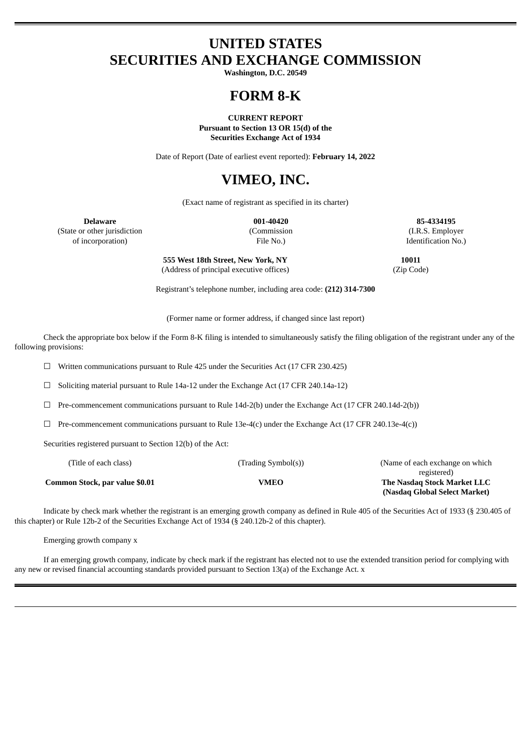### **UNITED STATES SECURITIES AND EXCHANGE COMMISSION**

**Washington, D.C. 20549**

## **FORM 8-K**

**CURRENT REPORT Pursuant to Section 13 OR 15(d) of the Securities Exchange Act of 1934**

Date of Report (Date of earliest event reported): **February 14, 2022**

# **VIMEO, INC.**

(Exact name of registrant as specified in its charter)

**Delaware 001-40420 85-4334195** (State or other jurisdiction (Commission (I.R.S. Employer of incorporation) File No.) Identification No.)

> **555 West 18th Street, New York, NY 10011** (Address of principal executive offices) (Zip Code)

Registrant's telephone number, including area code: **(212) 314-7300**

(Former name or former address, if changed since last report)

Check the appropriate box below if the Form 8-K filing is intended to simultaneously satisfy the filing obligation of the registrant under any of the following provisions:

☐ Written communications pursuant to Rule 425 under the Securities Act (17 CFR 230.425)

 $\Box$  Soliciting material pursuant to Rule 14a-12 under the Exchange Act (17 CFR 240.14a-12)

☐ Pre-commencement communications pursuant to Rule 14d-2(b) under the Exchange Act (17 CFR 240.14d-2(b))

 $\Box$  Pre-commencement communications pursuant to Rule 13e-4(c) under the Exchange Act (17 CFR 240.13e-4(c))

Securities registered pursuant to Section 12(b) of the Act:

| (Title of each class)          | (Trading Symbol(s)) | (Name of each exchange on which) |
|--------------------------------|---------------------|----------------------------------|
|                                |                     | registered)                      |
| Common Stock, par value \$0.01 | VMEO                | The Nasdag Stock Market LLC      |
|                                |                     | (Nasdaq Global Select Market)    |

Indicate by check mark whether the registrant is an emerging growth company as defined in Rule 405 of the Securities Act of 1933 (§ 230.405 of this chapter) or Rule 12b-2 of the Securities Exchange Act of 1934 (§ 240.12b-2 of this chapter).

Emerging growth company x

If an emerging growth company, indicate by check mark if the registrant has elected not to use the extended transition period for complying with any new or revised financial accounting standards provided pursuant to Section 13(a) of the Exchange Act. x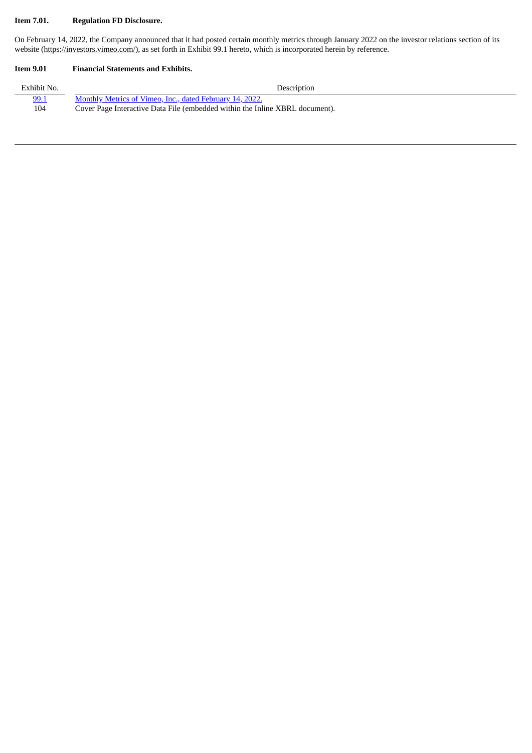### **Item 7.01. Regulation FD Disclosure.**

On February 14, 2022, the Company announced that it had posted certain monthly metrics through January 2022 on the investor relations section of its website (https://investors.vimeo.com/), as set forth in Exhibit 99.1 hereto, which is incorporated herein by reference.

#### **Item 9.01 Financial Statements and Exhibits.**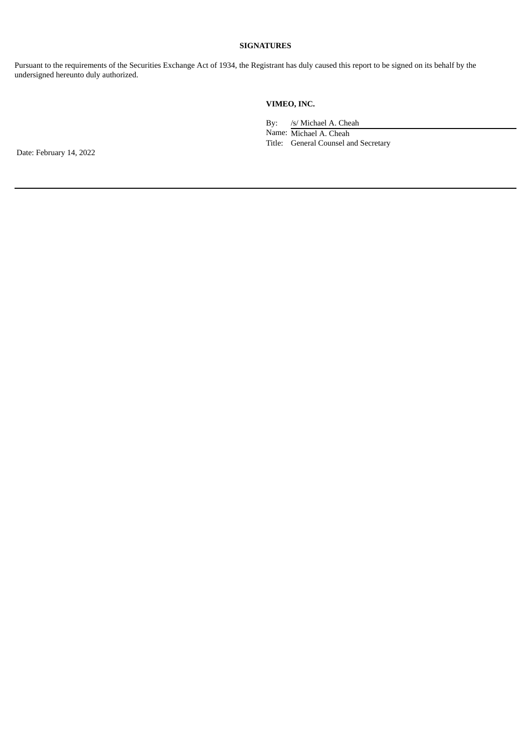#### **SIGNATURES**

Pursuant to the requirements of the Securities Exchange Act of 1934, the Registrant has duly caused this report to be signed on its behalf by the undersigned hereunto duly authorized.

### **VIMEO, INC.**

By: /s/ Michael A. Cheah Name: Michael A. Cheah Title: General Counsel and Secretary

Date: February 14, 2022